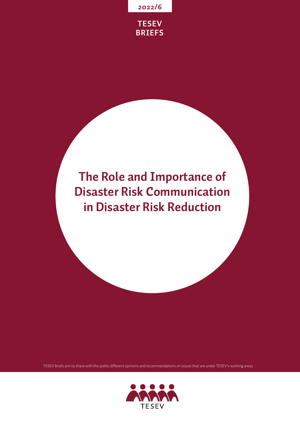



# **The Role and Importance of Disaster Risk Communication in Disaster Risk Reduction**

TESEV Briefs aim to share with the public different opinions and recommendations on issues that are under TESEV's working areas.

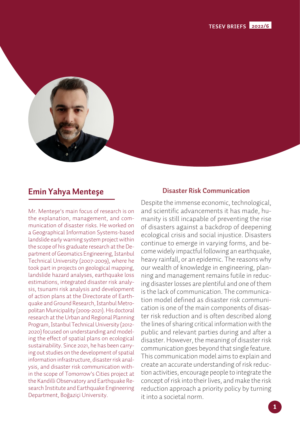

## **Emin Yahya Menteşe**

Mr. Menteşe's main focus of research is on the explanation, management, and communication of disaster risks. He worked on a Geographical Information Systems-based landslide early warning system project within the scope of his graduate research at the Department of Geomatics Engineering, Istanbul Technical University (2007-2009), where he took part in projects on geological mapping, landslide hazard analyses, earthquake loss estimations, integrated disaster risk analysis, tsunami risk analysis and development of action plans at the Directorate of Earthquake and Ground Research, Istanbul Metropolitan Municipality (2009-2021). His doctoral research at the Urban and Regional Planning Program, Istanbul Technical University (2012- 2020) focused on understanding and modeling the effect of spatial plans on ecological sustainability. Since 2021, he has been carrying out studies on the development of spatial information infrastructure, disaster risk analysis, and disaster risk communication within the scope of Tomorrow's Cities project at the Kandilli Observatory and Earthquake Research Institute and Earthquake Engineering Department, Boğaziçi University.

#### **Disaster Risk Communication**

Despite the immense economic, technological, and scientific advancements it has made, humanity is still incapable of preventing the rise of disasters against a backdrop of deepening ecological crisis and social injustice. Disasters continue to emerge in varying forms, and become widely impactful following an earthquake, heavy rainfall, or an epidemic. The reasons why our wealth of knowledge in engineering, planning and management remains futile in reducing disaster losses are plentiful and one of them is the lack of communication. The communication model defined as disaster risk communication is one of the main components of disaster risk reduction and is often described along the lines of sharing critical information with the public and relevant parties during and after a disaster. However, the meaning of disaster risk communication goes beyond that single feature. This communication model aims to explain and create an accurate understanding of risk reduction activities, encourage people to integrate the concept of risk into their lives, and make the risk reduction approach a priority policy by turning it into a societal norm.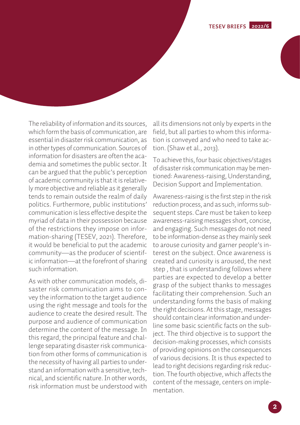**TESEV BRIEFS 2022/6**

The reliability of information and its sources, which form the basis of communication, are essential in disaster risk communication, as in other types of communication. Sources of information for disasters are often the academia and sometimes the public sector. It can be argued that the public's perception of academic community is that it is relatively more objective and reliable as it generally tends to remain outside the realm of daily politics. Furthermore, public institutions' communication is less effective despite the myriad of data in their possession because of the restrictions they impose on information-sharing (TESEV, 2021). Therefore, it would be beneficial to put the academic community—as the producer of scientific information—at the forefront of sharing such information.

As with other communication models, disaster risk communication aims to convey the information to the target audience using the right message and tools for the audience to create the desired result. The purpose and audience of communication determine the content of the message. In this regard, the principal feature and challenge separating disaster risk communication from other forms of communication is the necessity of having all parties to understand an information with a sensitive, technical, and scientific nature. In other words, risk information must be understood with all its dimensions not only by experts in the field, but all parties to whom this information is conveyed and who need to take action. (Shaw et al., 2013).

To achieve this, four basic objectives/stages of disaster risk communication may be mentioned: Awareness-raising, Understanding, Decision Support and Implementation.

Awareness-raising is the first step in the risk reduction process, and as such, informs subsequent steps. Care must be taken to keep awareness-raising messages short, concise, and engaging. Such messages do not need to be information-dense as they mainly seek to arouse curiosity and garner people's interest on the subject. Once awareness is created and curiosity is aroused, the next step , that is understanding follows where parties are expected to develop a better grasp of the subject thanks to messages facilitating their comprehension. Such an understanding forms the basis of making the right decisions. At this stage, messages should contain clear information and underline some basic scientific facts on the subject. The third objective is to support the decision-making processes, which consists of providing opinions on the consequences of various decisions. It is thus expected to lead to right decisions regarding risk reduction. The fourth objective, which affects the content of the message, centers on implementation.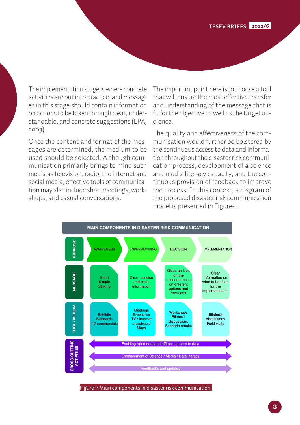The implementation stage is where concrete activities are put into practice, and messages in this stage should contain information on actions to be taken through clear, understandable, and concrete suggestions (EPA, 2003).

Once the content and format of the messages are determined, the medium to be used should be selected. Although communication primarily brings to mind such media as television, radio, the internet and social media, effective tools of communication may also include short meetings, workshops, and casual conversations.

The important point here is to choose a tool that will ensure the most effective transfer and understanding of the message that is fit for the objective as well as the target audience.

The quality and effectiveness of the communication would further be bolstered by the continuous access to data and information throughout the disaster risk communication process, development of a science and media literacy capacity, and the continuous provision of feedback to improve the process. In this context, a diagram of the proposed disaster risk communication model is presented in Figure-1.



Figure 1: Main components in disaster risk communication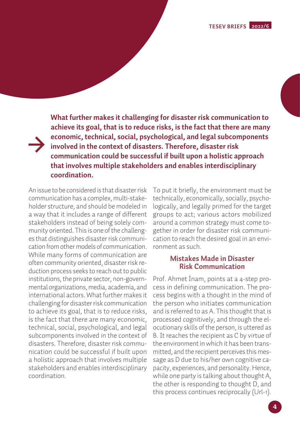**What further makes it challenging for disaster risk communication to achieve its goal, that is to reduce risks, is the fact that there are many economic, technical, social, psychological, and legal subcomponents involved in the context of disasters. Therefore, disaster risk communication could be successful if built upon a holistic approach that involves multiple stakeholders and enables interdisciplinary coordination.**

An issue to be considered is that disaster risk communication has a complex, multi-stakeholder structure, and should be modeled in a way that it includes a range of different stakeholders instead of being solely community oriented. This is one of the challenges that distinguishes disaster risk communication from other models of communication. While many forms of communication are often community oriented, disaster risk reduction process seeks to reach out to public institutions, the private sector, non-governmental organizations, media, academia, and international actors. What further makes it challenging for disaster risk communication to achieve its goal, that is to reduce risks, is the fact that there are many economic, technical, social, psychological, and legal subcomponents involved in the context of disasters. Therefore, disaster risk communication could be successful if built upon a holistic approach that involves multiple stakeholders and enables interdisciplinary coordination.

To put it briefly, the environment must be technically, economically, socially, psychologically, and legally primed for the target groups to act; various actors mobilized around a common strategy must come together in order for disaster risk communication to reach the desired goal in an environment as such.

#### **Mistakes Made in Disaster Risk Communication**

Prof. Ahmet İnam, points at a 4-step process in defining communication. The process begins with a thought in the mind of the person who initiates communication and is referred to as A. This thought that is processed cognitively, and through the elocutionary skills of the person, is uttered as B. It reaches the recipient as C by virtue of the environment in which it has been transmitted, and the recipient perceives this message as D due to his/her own cognitive capacity, experiences, and personality. Hence, while one party is talking about thought A, the other is responding to thought D, and this process continues reciprocally (Url-1).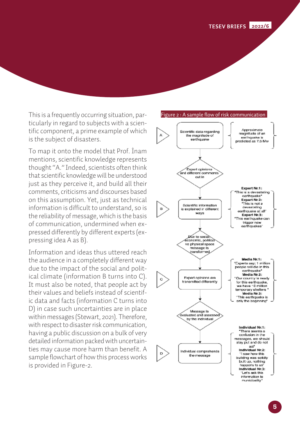This is a frequently occurring situation, particularly in regard to subjects with a scientific component, a prime example of which is the subject of disasters.

To map it onto the model that Prof. İnam mentions, scientific knowledge represents thought "A." Indeed, scientists often think that scientific knowledge will be understood just as they perceive it, and build all their comments, criticisms and discourses based on this assumption. Yet, just as technical information is difficult to understand, so is the reliability of message, which is the basis of communication, undermined when expressed differently by different experts (expressing idea A as B).

Information and ideas thus uttered reach the audience in a completely different way due to the impact of the social and political climate (information B turns into C). It must also be noted, that people act by their values and beliefs instead of scientific data and facts (information C turns into D) in case such uncertainties are in place within messages (Stewart, 2021). Therefore, with respect to disaster risk communication, having a public discussion on a bulk of very detailed information packed with uncertainties may cause more harm than benefit. A sample flowchart of how this process works is provided in Figure-2.

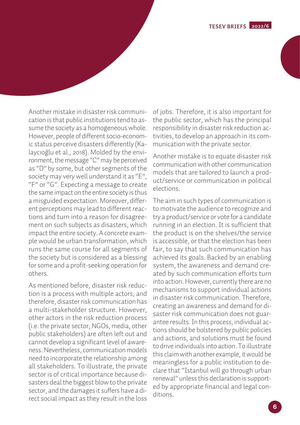

Another mistake in disaster risk communication is that public institutions tend to assume the society as a homogeneous whole. However, people of different socio-economic status perceive disasters differently (Kalaycıoğlu et al., 2018). Molded by the environment, the message "C" may be perceived as "D" by some, but other segments of the society may very well understand it as "E", "F" or "G". Expecting a message to create the same impact on the entire society is thus a misguided expectation. Moreover, different perceptions may lead to different reactions and turn into a reason for disagreement on such subjects as disasters, which impact the entire society. A concrete example would be urban transformation, which runs the same course for all segments of the society but is considered as a blessing for some and a profit-seeking operation for others.

As mentioned before, disaster risk reduction is a process with multiple actors, and therefore, disaster risk communication has a multi-stakeholder structure. However, other actors in the risk reduction process (i.e. the private sector, NGOs, media, other public stakeholders) are often left out and cannot develop a significant level of awareness. Nevertheless, communication models need to incorporate the relationship among all stakeholders. To illustrate, the private sector is of critical importance because disasters deal the biggest blow to the private sector, and the damages it suffers have a direct social impact as they result in the loss

of jobs. Therefore, it is also important for the public sector, which has the principal responsibility in disaster risk reduction activities, to develop an approach in its communication with the private sector.

Another mistake is to equate disaster risk communication with other communication models that are tailored to launch a product/service or communication in political elections.

The aim in such types of communication is to motivate the audience to recognize and try a product/service or vote for a candidate running in an election. It is sufficient that the product is on the shelves/the service is accessible, or that the election has been fair, to say that such communication has achieved its goals. Backed by an enabling system, the awareness and demand created by such communication efforts turn into action. However, currently there are no mechanisms to support individual actions in disaster risk communication. Therefore, creating an awareness and demand for disaster risk communication does not guarantee results. In this process, individual actions should be bolstered by public policies and actions, and solutions must be found to drive individuals into action. To illustrate this claim with another example, it would be meaningless for a public institution to declare that "Istanbul will go through urban renewal" unless this declaration is supported by appropriate financial and legal conditions.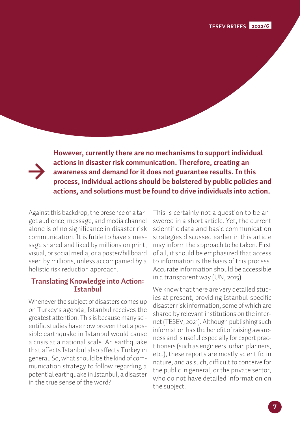**However, currently there are no mechanisms to support individual actions in disaster risk communication. Therefore, creating an awareness and demand for it does not guarantee results. In this process, individual actions should be bolstered by public policies and actions, and solutions must be found to drive individuals into action.**

Against this backdrop, the presence of a target audience, message, and media channel alone is of no significance in disaster risk communication. It is futile to have a message shared and liked by millions on print, visual, or social media, or a poster/billboard seen by millions, unless accompanied by a holistic risk reduction approach.

#### **Translating Knowledge into Action: Istanbul**

Whenever the subject of disasters comes up on Turkey's agenda, Istanbul receives the greatest attention. This is because many scientific studies have now proven that a possible earthquake in Istanbul would cause a crisis at a national scale. An earthquake that affects Istanbul also affects Turkey in general. So, what should be the kind of communication strategy to follow regarding a potential earthquake in Istanbul, a disaster in the true sense of the word?

This is certainly not a question to be answered in a short article. Yet, the current scientific data and basic communication strategies discussed earlier in this article may inform the approach to be taken. First of all, it should be emphasized that access to information is the basis of this process. Accurate information should be accessible in a transparent way (UN, 2015).

We know that there are very detailed studies at present, providing Istanbul-specific disaster risk information, some of which are shared by relevant institutions on the internet (TESEV, 2021). Although publishing such information has the benefit of raising awareness and is useful especially for expert practitioners (such as engineers, urban planners, etc.), these reports are mostly scientific in nature, and as such, difficult to conceive for the public in general, or the private sector, who do not have detailed information on the subject.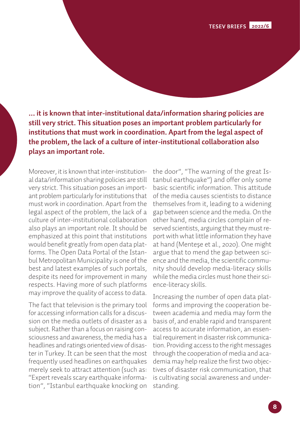**TESEV BRIEFS 2022/1 TESEV BRIEFS 2022/6**

**... it is known that inter-institutional data/information sharing policies are still very strict. This situation poses an important problem particularly for institutions that must work in coordination. Apart from the legal aspect of the problem, the lack of a culture of inter-institutional collaboration also plays an important role.**

Moreover, it is known that inter-institutional data/information sharing policies are still very strict. This situation poses an important problem particularly for institutions that must work in coordination. Apart from the legal aspect of the problem, the lack of a culture of inter-institutional collaboration also plays an important role. It should be emphasized at this point that institutions would benefit greatly from open data platforms. The Open Data Portal of the Istanbul Metropolitan Municipality is one of the best and latest examples of such portals, despite its need for improvement in many respects. Having more of such platforms may improve the quality of access to data.

The fact that television is the primary tool for accessing information calls for a discussion on the media outlets of disaster as a subject. Rather than a focus on raising consciousness and awareness, the media has a headlines and ratings oriented view of disaster in Turkey. It can be seen that the most frequently used headlines on earthquakes merely seek to attract attention (such as: "Expert reveals scary earthquake information", "Istanbul earthquake knocking on

the door", "The warning of the great Istanbul earthquake") and offer only some basic scientific information. This attitude of the media causes scientists to distance themselves from it, leading to a widening gap between science and the media. On the other hand, media circles complain of reserved scientists, arguing that they must report with what little information they have at hand (Menteşe et al., 2020). One might argue that to mend the gap between science and the media, the scientific community should develop media-literacy skills while the media circles must hone their science-literacy skills.

Increasing the number of open data platforms and improving the cooperation between academia and media may form the basis of, and enable rapid and transparent access to accurate information, an essential requirement in disaster risk communication. Providing access to the right messages through the cooperation of media and academia may help realize the first two objectives of disaster risk communication, that is cultivating social awareness and understanding.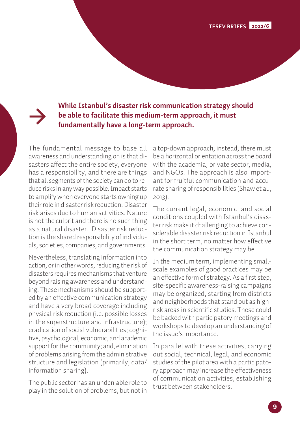**TESEV BRIEFS 2022/6**

**While Istanbul's disaster risk communication strategy should be able to facilitate this medium-term approach, it must fundamentally have a long-term approach.**

The fundamental message to base all awareness and understanding on is that disasters affect the entire society; everyone has a responsibility, and there are things that all segments of the society can do to reduce risks in any way possible. Impact starts to amplify when everyone starts owning up their role in disaster risk reduction. Disaster risk arises due to human activities. Nature is not the culprit and there is no such thing as a natural disaster. Disaster risk reduction is the shared responsibility of individuals, societies, companies, and governments.

Nevertheless, translating information into action, or in other words, reducing the risk of disasters requires mechanisms that venture beyond raising awareness and understanding. These mechanisms should be supported by an effective communication strategy and have a very broad coverage including physical risk reduction (i.e. possible losses in the superstructure and infrastructure); eradication of social vulnerabilities; cognitive, psychological, economic, and academic support for the community; and, elimination of problems arising from the administrative structure and legislation (primarily, data/ information sharing).

The public sector has an undeniable role to play in the solution of problems, but not in

a top-down approach; instead, there must be a horizontal orientation across the board with the academia, private sector, media, and NGOs. The approach is also important for fruitful communication and accurate sharing of responsibilities (Shaw et al., 2013).

The current legal, economic, and social conditions coupled with Istanbul's disaster risk make it challenging to achieve considerable disaster risk reduction in Istanbul in the short term, no matter how effective the communication strategy may be.

In the medium term, implementing smallscale examples of good practices may be an effective form of strategy. As a first step, site-specific awareness-raising campaigns may be organized, starting from districts and neighborhoods that stand out as highrisk areas in scientific studies. These could be backed with participatory meetings and workshops to develop an understanding of the issue's importance.

In parallel with these activities, carrying out social, technical, legal, and economic studies of the pilot area with a participatory approach may increase the effectiveness of communication activities, establishing trust between stakeholders.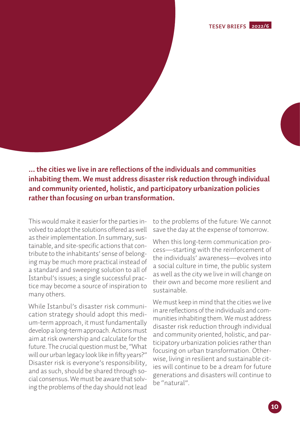**TESEV BRIEFS 2022/6**

**... the cities we live in are reflections of the individuals and communities inhabiting them. We must address disaster risk reduction through individual and community oriented, holistic, and participatory urbanization policies rather than focusing on urban transformation.**

This would make it easier for the parties involved to adopt the solutions offered as well as their implementation. In summary, sustainable, and site-specific actions that contribute to the inhabitants' sense of belonging may be much more practical instead of a standard and sweeping solution to all of Istanbul's issues; a single successful practice may become a source of inspiration to many others.

While Istanbul's disaster risk communication strategy should adopt this medium-term approach, it must fundamentally develop a long-term approach. Actions must aim at risk ownership and calculate for the future. The crucial question must be, "What will our urban legacy look like in fifty years?" Disaster risk is everyone's responsibility, and as such, should be shared through social consensus. We must be aware that solving the problems of the day should not lead to the problems of the future: We cannot save the day at the expense of tomorrow.

When this long-term communication process—starting with the reinforcement of the individuals' awareness—evolves into a social culture in time, the public system as well as the city we live in will change on their own and become more resilient and sustainable.

We must keep in mind that the cities we live in are reflections of the individuals and communities inhabiting them. We must address disaster risk reduction through individual and community oriented, holistic, and participatory urbanization policies rather than focusing on urban transformation. Otherwise, living in resilient and sustainable cities will continue to be a dream for future generations and disasters will continue to be "natural".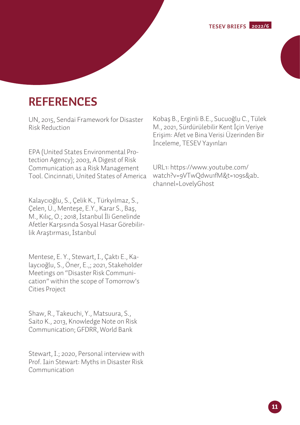# **REFERENCES**

UN, 2015, Sendai Framework for Disaster Risk Reduction

EPA (United States Environmental Protection Agency); 2003, A Digest of Risk Communication as a Risk Management Tool. Cincinnati, United States of America

Kalaycıoğlu, S., Çelik K., Türkyılmaz, S., Çelen, Ü., Menteşe, E.Y., Karar S., Baş, M., Kılıç, O.; 2018, İstanbul İli Genelinde Afetler Karşısında Sosyal Hasar Görebilirlik Araştırması, İstanbul

Mentese, E. Y., Stewart, I., Çaktı E., Kalaycıoğlu, S., Öner, E.,; 2021, Stakeholder Meetings on "Disaster Risk Communication" within the scope of Tomorrow's Cities Project

Shaw, R., Takeuchi, Y., Matsuura, S., Saito K., 2013, Knowledge Note on Risk Communication; GFDRR, World Bank

Stewart, I.; 2020, Personal interview with Prof. Iain Stewart: Myths in Disaster Risk Communication

Kobaş B., Erginli B.E., Sucuoğlu C., Tülek M., 2021, Sürdürülebilir Kent İçin Veriye Erişim: Afet ve Bina Verisi Üzerinden Bir İnceleme, TESEV Yayınları

URL1: https://www.youtube.com/ watch?v=9VTwQdwu1fM&t=109s&ab\_ channel=LovelyGhost